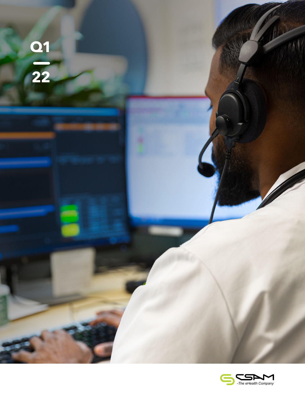

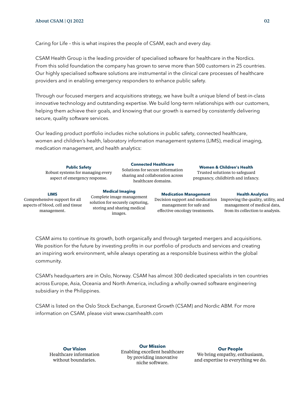Caring for Life – this is what inspires the people of CSAM, each and every day.

CSAM Health Group is the leading provider of specialised software for healthcare in the Nordics. From this solid foundation the company has grown to serve more than 500 customers in 25 countries. Our highly specialised software solutions are instrumental in the clinical care processes of healthcare providers and in enabling emergency responders to enhance public safety.

Through our focused mergers and acquisitions strategy, we have built a unique blend of best-in-class innovative technology and outstanding expertise. We build long-term relationships with our customers, helping them achieve their goals, and knowing that our growth is earned by consistently delivering secure, quality software services.

Our leading product portfolio includes niche solutions in public safety, connected healthcare, women and children's health, laboratory information management systems (LIMS), medical imaging, medication management, and health analytics:

| <b>Public Safety</b><br>Robust systems for managing every<br>aspect of emergency response.       |  | <b>Connected Healthcare</b><br>Solutions for secure information<br>sharing and collaboration across<br>healthcare domains.        |                                                                                                                              | <b>Women &amp; Children's Health</b><br>Trusted solutions to safeguard<br>pregnancy, childbirth and infancy. |                                                                                                                                   |
|--------------------------------------------------------------------------------------------------|--|-----------------------------------------------------------------------------------------------------------------------------------|------------------------------------------------------------------------------------------------------------------------------|--------------------------------------------------------------------------------------------------------------|-----------------------------------------------------------------------------------------------------------------------------------|
| <b>LIMS</b><br>Comprehensive support for all<br>aspects of blood, cell and tissue<br>management. |  | <b>Medical Imaging</b><br>Complete image management<br>solution for securely capturing,<br>storing and sharing medical<br>images. | <b>Medication Management</b><br>Decision support and medication<br>management for safe and<br>effective oncology treatments. |                                                                                                              | <b>Health Analytics</b><br>Improving the quality, utility, and<br>management of medical data,<br>from its collection to analysis. |

CSAM aims to continue its growth, both organically and through targeted mergers and acquisitions. We position for the future by investing profits in our portfolio of products and services and creating an inspiring work environment, while always operating as a responsible business within the global community.

CSAM's headquarters are in Oslo, Norway. CSAM has almost 300 dedicated specialists in ten countries across Europe, Asia, Oceania and North America, including a wholly-owned software engineering subsidiary in the Philippines.

CSAM is listed on the Oslo Stock Exchange, Euronext Growth (CSAM) and Nordic ABM. For more information on CSAM, please visit www.csamhealth.com

**Our Vision**  Healthcare information without boundaries.

**Our Mission** Enabling excellent healthcare by providing innovative niche software.

**Our People** We bring empathy, enthusiasm, and expertise to everything we do.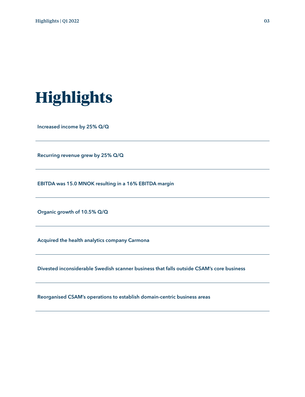

Increased income by 25% Q/Q

Recurring revenue grew by 25% Q/Q

EBITDA was 15.0 MNOK resulting in a 16% EBITDA margin

Organic growth of 10.5% Q/Q

Acquired the health analytics company Carmona

Divested inconsiderable Swedish scanner business that falls outside CSAM's core business

Reorganised CSAM's operations to establish domain-centric business areas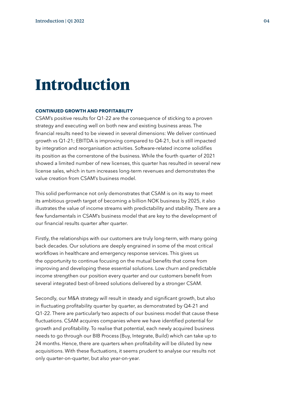## **Introduction**

#### **CONTINUED GROWTH AND PROFITABILITY**

CSAM's positive results for Q1-22 are the consequence of sticking to a proven strategy and executing well on both new and existing business areas. The financial results need to be viewed in several dimensions: We deliver continued growth vs Q1-21; EBITDA is improving compared to Q4-21, but is still impacted by integration and reorganisation activities. Software-related income solidifies its position as the cornerstone of the business. While the fourth quarter of 2021 showed a limited number of new licenses, this quarter has resulted in several new license sales, which in turn increases long-term revenues and demonstrates the value creation from CSAM's business model.

This solid performance not only demonstrates that CSAM is on its way to meet its ambitious growth target of becoming a billion NOK business by 2025, it also illustrates the value of income streams with predictability and stability. There are a few fundamentals in CSAM's business model that are key to the development of our financial results quarter after quarter.

Firstly, the relationships with our customers are truly long-term, with many going back decades. Our solutions are deeply engrained in some of the most critical workflows in healthcare and emergency response services. This gives us the opportunity to continue focusing on the mutual benefits that come from improving and developing these essential solutions. Low churn and predictable income strengthen our position every quarter and our customers benefit from several integrated best-of-breed solutions delivered by a stronger CSAM.

Secondly, our M&A strategy will result in steady and significant growth, but also in fluctuating profitability quarter by quarter, as demonstrated by Q4-21 and Q1-22. There are particularly two aspects of our business model that cause these fluctuations. CSAM acquires companies where we have identified potential for growth and profitability. To realise that potential, each newly acquired business needs to go through our BIB Process (Buy, Integrate, Build) which can take up to 24 months. Hence, there are quarters when profitability will be diluted by new acquisitions. With these fluctuations, it seems prudent to analyse our results not only quarter-on-quarter, but also year-on-year.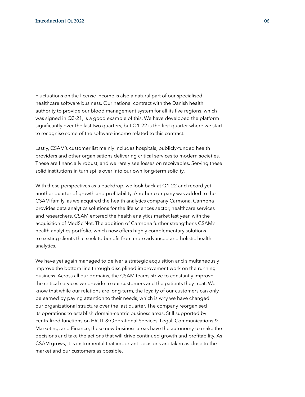Fluctuations on the license income is also a natural part of our specialised healthcare software business. Our national contract with the Danish health authority to provide our blood management system for all its five regions, which was signed in Q3-21, is a good example of this. We have developed the platform significantly over the last two quarters, but Q1-22 is the first quarter where we start to recognise some of the software income related to this contract.

Lastly, CSAM's customer list mainly includes hospitals, publicly-funded health providers and other organisations delivering critical services to modern societies. These are financially robust, and we rarely see losses on receivables. Serving these solid institutions in turn spills over into our own long-term solidity.

With these perspectives as a backdrop, we look back at Q1-22 and record yet another quarter of growth and profitability. Another company was added to the CSAM family, as we acquired the health analytics company Carmona. Carmona provides data analytics solutions for the life sciences sector, healthcare services and researchers. CSAM entered the health analytics market last year, with the acquisition of MedSciNet. The addition of Carmona further strengthens CSAM's health analytics portfolio, which now offers highly complementary solutions to existing clients that seek to benefit from more advanced and holistic health analytics.

We have yet again managed to deliver a strategic acquisition and simultaneously improve the bottom line through disciplined improvement work on the running business. Across all our domains, the CSAM teams strive to constantly improve the critical services we provide to our customers and the patients they treat. We know that while our relations are long-term, the loyalty of our customers can only be earned by paying attention to their needs, which is why we have changed our organizational structure over the last quarter. The company reorganised its operations to establish domain-centric business areas. Still supported by centralized functions on HR, IT & Operational Services, Legal, Communications & Marketing, and Finance, these new business areas have the autonomy to make the decisions and take the actions that will drive continued growth and profitability. As CSAM grows, it is instrumental that important decisions are taken as close to the market and our customers as possible.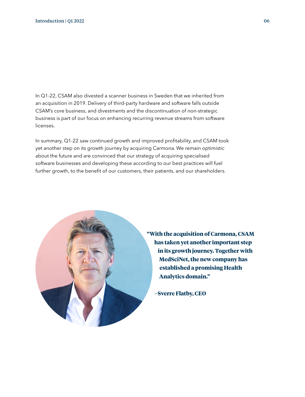In Q1-22, CSAM also divested a scanner business in Sweden that we inherited from an acquisition in 2019. Delivery of third-party hardware and software falls outside CSAM's core business, and divestments and the discontinuation of non-strategic business is part of our focus on enhancing recurring revenue streams from software licenses.

In summary, Q1-22 saw continued growth and improved profitability, and CSAM took yet another step on its growth journey by acquiring Carmona. We remain optimistic about the future and are convinced that our strategy of acquiring specialised software businesses and developing these according to our best practices will fuel further growth, to the benefit of our customers, their patients, and our shareholders.



**"With the acquisition of Carmona, CSAM has taken yet another important step in its growth journey. Together with MedSciNet, the new company has established a promising Health Analytics domain."**

**–Sverre Flatby, CEO**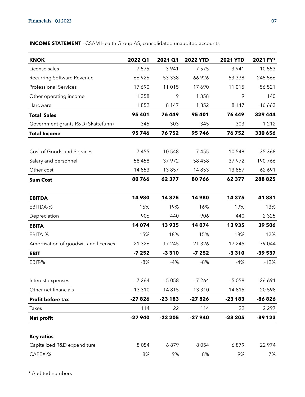### **INCOME STATEMENT** - CSAM Health Group AS, consolidated unaudited accounts

| <b>KNOK</b>                           | 2022 Q1  | 2021 Q1  | <b>2022 YTD</b> | <b>2021 YTD</b> | 2021 FY* |
|---------------------------------------|----------|----------|-----------------|-----------------|----------|
| License sales                         | 7575     | 3 9 4 1  | 7575            | 3 9 4 1         | 10 553   |
| Recurring Software Revenue            | 66 926   | 53 338   | 66 926          | 53 338          | 245 566  |
| <b>Professional Services</b>          | 17 690   | 11 0 15  | 17690           | 11 015          | 56 521   |
| Other operating income                | 1 3 5 8  | 9        | 1 3 5 8         | 9               | 140      |
| Hardware                              | 1852     | 8 1 4 7  | 1852            | 8 1 4 7         | 16 663   |
| <b>Total Sales</b>                    | 95 401   | 76 449   | 95 401          | 76 449          | 329 444  |
| Government grants R&D (Skattefunn)    | 345      | 303      | 345             | 303             | 1 2 1 2  |
| <b>Total Income</b>                   | 95746    | 76752    | 95746           | 76752           | 330 656  |
| Cost of Goods and Services            | 7455     | 10 548   | 7455            | 10548           | 35 368   |
| Salary and personnel                  | 58 4 58  | 37 972   | 58 4 58         | 37 972          | 190766   |
| Other cost                            | 14 8 53  | 13857    | 14853           | 13857           | 62 691   |
| <b>Sum Cost</b>                       | 80766    | 62 377   | 80766           | 62377           | 288 825  |
| <b>EBITDA</b>                         | 14980    | 14 3 7 5 | 14980           | 14 3 7 5        | 41831    |
| EBITDA-%                              | 16%      | 19%      | 16%             | 19%             | 13%      |
| Depreciation                          | 906      | 440      | 906             | 440             | 2 3 2 5  |
| <b>EBITA</b>                          | 14 0 74  | 13935    | 14 074          | 13935           | 39 506   |
| EBITA-%                               | 15%      | 18%      | 15%             | 18%             | 12%      |
| Amortisation of goodwill and licenses | 21 3 26  | 17 245   | 21 3 26         | 17 245          | 79 044   |
| <b>EBIT</b>                           | $-7252$  | $-3310$  | $-7252$         | $-3310$         | $-39537$ |
| EBIT-%                                | $-8%$    | $-4%$    | $-8%$           | $-4%$           | $-12%$   |
| Interest expenses                     | $-7264$  | $-5058$  | $-7264$         | $-5058$         | $-26691$ |
| Other net financials                  | $-13310$ | $-14815$ | $-13310$        | $-14815$        | $-20598$ |
| Profit before tax                     | $-27826$ | $-23183$ | $-27826$        | $-23183$        | -86826   |
| Taxes                                 | 114      | 22       | 114             | 22              | 2 2 9 7  |
| <b>Net profit</b>                     | $-27940$ | $-23205$ | $-27940$        | $-23205$        | $-89123$ |
| <b>Key ratios</b>                     |          |          |                 |                 |          |
| Capitalized R&D expenditure           | 8 0 5 4  | 6879     | 8 0 5 4         | 6879            | 22 974   |
| CAPEX-%                               | 8%       | 9%       | 8%              | 9%              | 7%       |

\* Audited numbers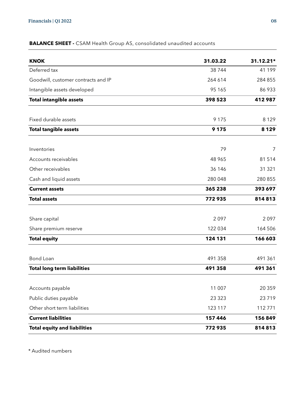### **BALANCE SHEET -** CSAM Health Group AS, consolidated unaudited accounts

| <b>KNOK</b>                         | 31.03.22 | 31.12.21* |
|-------------------------------------|----------|-----------|
| Deferred tax                        | 38744    | 41 199    |
| Goodwill, customer contracts and IP | 264 614  | 284 855   |
| Intangible assets developed         | 95 165   | 86 933    |
| <b>Total intangible assets</b>      | 398 523  | 412987    |
| Fixed durable assets                | 9 1 7 5  | 8 1 2 9   |
| <b>Total tangible assets</b>        | 9 1 7 5  | 8 1 2 9   |
| Inventories                         | 79       | 7         |
| Accounts receivables                | 48 965   | 81514     |
| Other receivables                   | 36 146   | 31 321    |
| Cash and liquid assets              | 280 048  | 280 855   |
| <b>Current assets</b>               | 365 238  | 393 697   |
| <b>Total assets</b>                 | 772935   | 814813    |
| Share capital                       | 2097     | 2097      |
| Share premium reserve               | 122 034  | 164 506   |
| <b>Total equity</b>                 | 124 131  | 166 603   |
| Bond Loan                           | 491 358  | 491 361   |
| <b>Total long term liabilities</b>  | 491 358  | 491 361   |
| Accounts payable                    | 11 007   | 20 3 5 9  |
| Public duties payable               | 23 3 23  | 23719     |
| Other short term liabilities        | 123 117  | 112771    |
| <b>Current liabilities</b>          | 157 446  | 156849    |
| <b>Total equity and liabilities</b> | 772935   | 814813    |

\* Audited numbers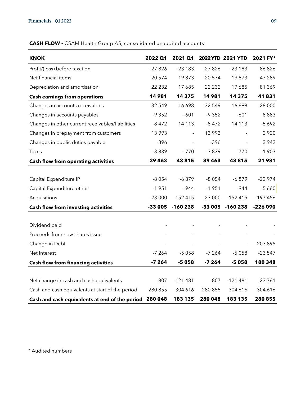### **KNOK 2022 Q1 2021 Q1 2022 YTD 2021 YTD 2021 FY\*** Profit/(loss) before taxation -27 826 -23 183 -27 826 -23 183 -86 826 Net financial items 20 574 19 873 20 574 19 873 47 289 Depreciation and amortisation 22 232 17 685 22 232 17 685 81 369 **Cash earnings from operations 14 981 14 375 14 981 14 375 41 831**  Changes in accounts receivables 32 549 16 698 32 549 16 698 -28 000 Changes in accounts payables -9 352 -601 -9 352 -601 -9 352 -601 - 8 883 Changes in other current receivables/liabilities -8 472 14 113 -8 472 14 113 -5 692 Changes in prepayment from customers 13 993 - 13 993 - 2 920 Changes in public duties payable  $-396$  -  $-396$  - 3 942 Taxes -3 839 -770 -3 839 -770 -1 903 **Cash flow from operating activities 39 463 43 815 39 463 43 815 21 981**  Capital Expenditure IP  $-8054 -6879 -8054 -6879 -6879 -22974$ Capital Expenditure other 1951 -944 -1 951 -944 -944 -5 660 Acquisitions -23 000 -152 415 -23 000 -152 415 -197 456 **Cash flow from investing activities -33 005 -160 238 -33 005 -160 238 -226 090**  Dividend paid and a state of the state of the state of the state of the state of the state of the state of the Proceeds from new shares issue Change in Debt 203 895 Net Interest -7 264 -5 058 -7 264 -5 058 -23 547 **Cash flow from financing activities -7 264 -5 058 -7 264 -5 058 180 348**  Net change in cash and cash equivalents -807 -121 481 -807 -121 481 -23 761 Cash and cash equivalents at start of the period 280 855 304 616 280 855 304 616 304 616 **Cash and cash equivalents at end of the period 280 048 183 135 280 048 183 135 280 855**

#### **CASH FLOW -** CSAM Health Group AS, consolidated unaudited accounts

\* Audited numbers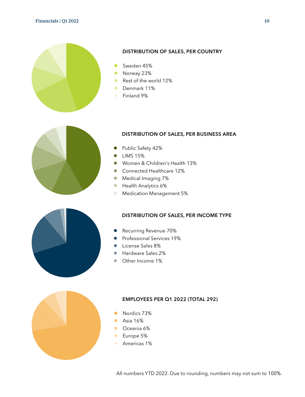

#### DISTRIBUTION OF SALES, PER COUNTRY

- Sweden 45%
- Norway 23%
- Rest of the world 12%
- Denmark 11%
- **Finland 9%**



#### DISTRIBUTION OF SALES, PER BUSINESS AREA

- Public Safety 42%
- **•** LIMS 15%
- Women & Children's Health 13%
- Connected Healthcare 12%
- **Medical Imaging 7%**
- **Health Analytics 6%**
- **Medication Management 5%**

#### DISTRIBUTION OF SALES, PER INCOME TYPE

- Recurring Revenue 70%
- **•** Professional Services 19%
- **License Sales 8%**
- Hardware Sales 2%
- Other Income 1%



#### **EMPLOYEES PER Q1 2022 (TOTAL 292)**

- Nordics 73%
- **Asia 16%**
- **Oceania 6%**
- **Europe 5%**
- **Americas 1%**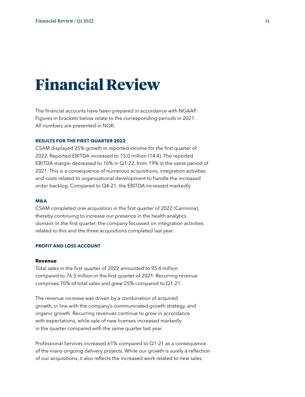# **Financial Review**

The financial accounts have been prepared in accordance with NGAAP. Figures in brackets below relate to the corresponding periods in 2021. All numbers are presented in NOK.

#### **RESULTS FOR THE FIRST QUARTER 2022**

CSAM displayed 25% growth in reported income for the first quarter of 2022. Reported EBITDA increased to 15.0 million (14.4). The reported EBITDA-margin decreased to 16% in Q1-22, from 19% in the same period of 2021. This is a consequence of numerous acquisitions, integration activities and costs related to organisational development to handle the increased order backlog. Compared to Q4-21, the EBITDA increased markedly.

#### **M&A**

CSAM completed one acquisition in the first quarter of 2022 (Carmona), thereby continuing to increase our presence in the health analytics domain. In the first quarter, the company focussed on integration activities related to this and the three acquisitions completed last year.

#### **PROFIT AND LOSS ACCOUNT**

#### **Revenue**

Total sales in the first quarter of 2022 amounted to 95.4 million compared to 76.5 million in the first quarter of 2021. Recurring revenue comprises 70% of total sales and grew 25% compared to Q1-21.

The revenue increase was driven by a combination of acquired growth, in line with the company's communicated growth strategy, and organic growth. Recurring revenues continue to grow in accordance with expectations, while sale of new licenses increased markedly in the quarter compared with the same quarter last year.

Professional Services increased 61% compared to Q1-21 as a consequence of the many ongoing delivery projects. While our growth is surely a reflection of our acquisitions, it also reflects the increased work related to new sales.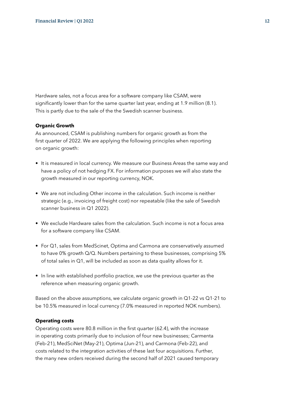Hardware sales, not a focus area for a software company like CSAM, were significantly lower than for the same quarter last year, ending at 1.9 million (8.1). This is partly due to the sale of the the Swedish scanner business.

#### **Organic Growth**

As announced, CSAM is publishing numbers for organic growth as from the first quarter of 2022. We are applying the following principles when reporting on organic growth:

- It is measured in local currency. We measure our Business Areas the same way and have a policy of not hedging FX. For information purposes we will also state the growth measured in our reporting currency, NOK.
- We are not including Other income in the calculation. Such income is neither strategic (e.g., invoicing of freight cost) nor repeatable (like the sale of Swedish scanner business in Q1 2022).
- We exclude Hardware sales from the calculation. Such income is not a focus area for a software company like CSAM.
- For Q1, sales from MedScinet, Optima and Carmona are conservatively assumed to have 0% growth Q/Q. Numbers pertaining to these businesses, comprising 5% of total sales in Q1, will be included as soon as data quality allows for it.
- In line with established portfolio practice, we use the previous quarter as the reference when measuring organic growth.

Based on the above assumptions, we calculate organic growth in Q1-22 vs Q1-21 to be 10.5% measured in local currency (7.0% measured in reported NOK numbers).

#### **Operating costs**

Operating costs were 80.8 million in the first quarter (62.4), with the increase in operating costs primarily due to inclusion of four new businesses; Carmenta (Feb-21), MedSciNet (May-21), Optima (Jun-21), and Carmona (Feb-22), and costs related to the integration activities of these last four acquisitions. Further, the many new orders received during the second half of 2021 caused temporary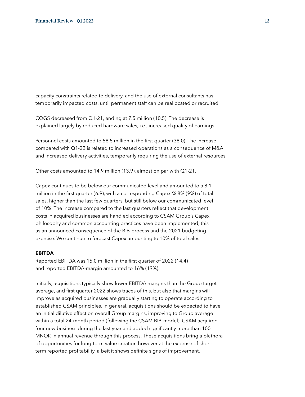capacity constraints related to delivery, and the use of external consultants has temporarily impacted costs, until permanent staff can be reallocated or recruited.

COGS decreased from Q1-21, ending at 7.5 million (10.5). The decrease is explained largely by reduced hardware sales, i.e., increased quality of earnings.

Personnel costs amounted to 58.5 million in the first quarter (38.0). The increase compared with Q1-22 is related to increased operations as a consequence of M&A and increased delivery activities, temporarily requiring the use of external resources.

Other costs amounted to 14.9 million (13.9), almost on par with Q1-21.

Capex continues to be below our communicated level and amounted to a 8.1 million in the first quarter (6.9), with a corresponding Capex-% 8% (9%) of total sales, higher than the last few quarters, but still below our communicated level of 10%. The increase compared to the last quarters reflect that development costs in acquired businesses are handled according to CSAM Group's Capex philosophy and common accounting practices have been implemented, this as an announced consequence of the BIB-process and the 2021 budgeting exercise. We continue to forecast Capex amounting to 10% of total sales.

#### **EBITDA**

Reported EBITDA was 15.0 million in the first quarter of 2022 (14.4) and reported EBITDA-margin amounted to 16% (19%).

Initially, acquisitions typically show lower EBITDA margins than the Group target average, and first quarter 2022 shows traces of this, but also that margins will improve as acquired businesses are gradually starting to operate according to established CSAM principles. In general, acquisitions should be expected to have an initial dilutive effect on overall Group margins, improving to Group average within a total 24-month period (following the CSAM BIB-model). CSAM acquired four new business during the last year and added significantly more than 100 MNOK in annual revenue through this process. These acquisitions bring a plethora of opportunities for long-term value creation however at the expense of shortterm reported profitability, albeit it shows definite signs of improvement.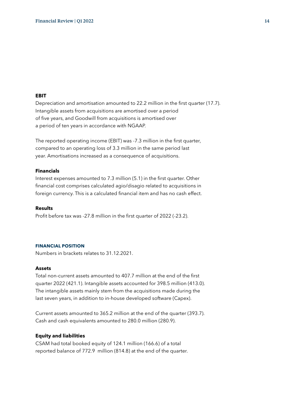#### **EBIT**

Depreciation and amortisation amounted to 22.2 million in the first quarter (17.7). Intangible assets from acquisitions are amortised over a period of five years, and Goodwill from acquisitions is amortised over a period of ten years in accordance with NGAAP.

The reported operating income (EBIT) was -7.3 million in the first quarter, compared to an operating loss of 3.3 million in the same period last year. Amortisations increased as a consequence of acquisitions.

#### **Financials**

Interest expenses amounted to 7.3 million (5.1) in the first quarter. Other financial cost comprises calculated agio/disagio related to acquisitions in foreign currency. This is a calculated financial item and has no cash effect.

#### **Results**

Profit before tax was -27.8 million in the first quarter of 2022 (-23.2).

#### **FINANCIAL POSITION**

Numbers in brackets relates to 31.12.2021.

#### **Assets**

Total non-current assets amounted to 407.7 million at the end of the first quarter 2022 (421.1). Intangible assets accounted for 398.5 million (413.0). The intangible assets mainly stem from the acquisitions made during the last seven years, in addition to in-house developed software (Capex).

Current assets amounted to 365.2 million at the end of the quarter (393.7). Cash and cash equivalents amounted to 280.0 million (280.9).

#### **Equity and liabilities**

CSAM had total booked equity of 124.1 million (166.6) of a total reported balance of 772.9 million (814.8) at the end of the quarter.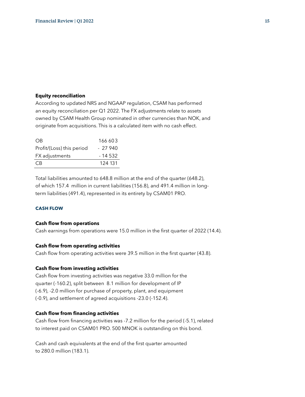#### **Equity reconciliation**

According to updated NRS and NGAAP regulation, CSAM has performed an equity reconciliation per Q1 2022. The FX adjustments relate to assets owned by CSAM Health Group nominated in other currencies than NOK, and originate from acquisitions. This is a calculated item with no cash effect.

| O <sub>B</sub>            | 166 603   |
|---------------------------|-----------|
| Profit/(Loss) this period | $-27940$  |
| FX adjustments            | $-14.532$ |
| C <sub>B</sub>            | 124 131   |
|                           |           |

Total liabilities amounted to 648.8 million at the end of the quarter (648.2), of which 157.4 million in current liabilities (156.8), and 491.4 million in longterm liabilities (491.4), represented in its entirety by CSAM01 PRO.

#### **CASH FLOW**

#### **Cash flow from operations**

Cash earnings from operations were 15.0 million in the first quarter of 2022 (14.4).

#### **Cash flow from operating activities**

Cash flow from operating activities were 39.5 million in the first quarter (43.8).

#### **Cash flow from investing activities**

Cash flow from investing activities was negative 33.0 million for the quarter (-160.2), split between 8.1 million for development of IP (-6.9), -2.0 million for purchase of property, plant, and equipment (-0.9), and settlement of agreed acquisitions -23.0 (-152.4).

#### **Cash flow from financing activities**

Cash flow from financing activities was -7.2 million for the period (-5.1), related to interest paid on CSAM01 PRO. 500 MNOK is outstanding on this bond.

Cash and cash equivalents at the end of the first quarter amounted to 280.0 million (183.1).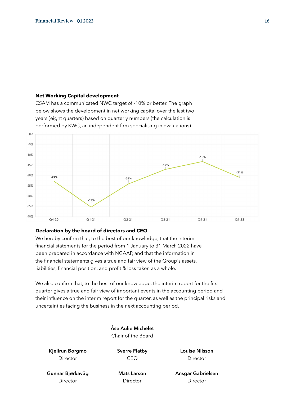#### **Net Working Capital development**

CSAM has a communicated NWC target of -10% or better. The graph below shows the development in net working capital over the last two years (eight quarters) based on quarterly numbers (the calculation is performed by KWC, an independent firm specialising in evaluations).



#### **Declaration by the board of directors and CEO**

We hereby confirm that, to the best of our knowledge, that the interim financial statements for the period from 1 January to 31 March 2022 have been prepared in accordance with NGAAP, and that the information in the financial statements gives a true and fair view of the Group's assets, liabilities, financial position, and profit & loss taken as a whole.

We also confirm that, to the best of our knowledge, the interim report for the first quarter gives a true and fair view of important events in the accounting period and their influence on the interim report for the quarter, as well as the principal risks and uncertainties facing the business in the next accounting period.

> Åse Aulie Michelet Chair of the Board

Kjellrun Borgmo Director

Sverre Flatby CEO

Louise Nilsson Director

Gunnar Bjørkavåg **Director** 

Mats Larson **Director** 

Ansgar Gabrielsen Director